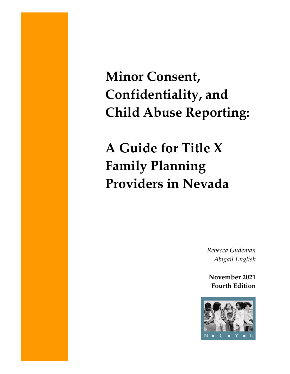**Minor Consent, Confidentiality, and Child Abuse Reporting:**

**A Guide for Title X Family Planning Providers in Nevada**

> *Rebecca Gudeman Abigail English*

**November 2021 Fourth Edition**

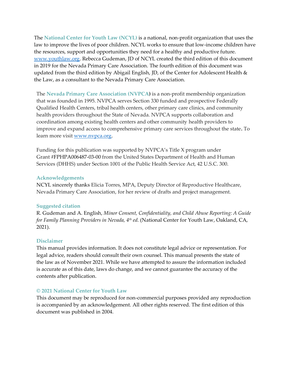The **National Center for Youth Law (NCYL)** is a national, non-profit organization that uses the law to improve the lives of poor children. NCYL works to ensure that low-income children have the resources, support and opportunities they need for a healthy and productive future. [www.youthlaw.org.](http://www.youthlaw.org/) Rebecca Gudeman, JD of NCYL created the third edition of this document in 2019 for the Nevada Primary Care Association. The fourth edition of this document was updated from the third edition by Abigail English, JD, of the Center for Adolescent Health & the Law, as a consultant to the Nevada Primary Care Association.

The **Nevada Primary Care Association (NVPCA)** is a non-profit membership organization that was founded in 1995. NVPCA serves Section 330 funded and prospective Federally Qualified Health Centers, tribal health centers, other primary care clinics, and community health providers throughout the State of Nevada. NVPCA supports collaboration and coordination among existing health centers and other community health providers to improve and expand access to comprehensive primary care services throughout the state**.** To learn more visit [www.nvpca.org.](http://www.nvpca.org/)

Funding for this publication was supported by NVPCA's Title X program under Grant #FPHPA006487-03-00 from the United States Department of Health and Human Services (DHHS) under Section 1001 of the Public Health Service Act, 42 U.S.C. 300.

#### **Acknowledgements**

NCYL sincerely thanks Elicia Torres, MPA, Deputy Director of Reproductive Healthcare, Nevada Primary Care Association, for her review of drafts and project management.

### **Suggested citation**

R. Gudeman and A. English, *Minor Consent, Confidentiality, and Child Abuse Reporting: A Guide for Family Planning Providers in Nevada, 4th ed.* (National Center for Youth Law, Oakland, CA, 2021).

### **Disclaimer**

This manual provides information. It does not constitute legal advice or representation. For legal advice, readers should consult their own counsel. This manual presents the state of the law as of November 2021. While we have attempted to assure the information included is accurate as of this date, laws do change, and we cannot guarantee the accuracy of the contents after publication.

### **© 2021 National Center for Youth Law**

This document may be reproduced for non-commercial purposes provided any reproduction is accompanied by an acknowledgement. All other rights reserved. The first edition of this document was published in 2004.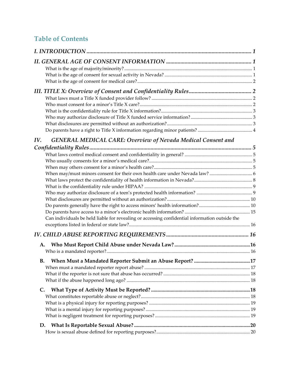# **Table of Contents**

| IV.                                                                                            |  |
|------------------------------------------------------------------------------------------------|--|
| <b>GENERAL MEDICAL CARE: Overview of Nevada Medical Consent and</b>                            |  |
|                                                                                                |  |
|                                                                                                |  |
|                                                                                                |  |
|                                                                                                |  |
|                                                                                                |  |
|                                                                                                |  |
|                                                                                                |  |
|                                                                                                |  |
|                                                                                                |  |
| Can individuals be held liable for revealing or accessing confidential information outside the |  |
|                                                                                                |  |
|                                                                                                |  |
|                                                                                                |  |
|                                                                                                |  |
| В.                                                                                             |  |
|                                                                                                |  |
|                                                                                                |  |
|                                                                                                |  |
| C.                                                                                             |  |
|                                                                                                |  |
|                                                                                                |  |
|                                                                                                |  |
|                                                                                                |  |
| D.                                                                                             |  |
|                                                                                                |  |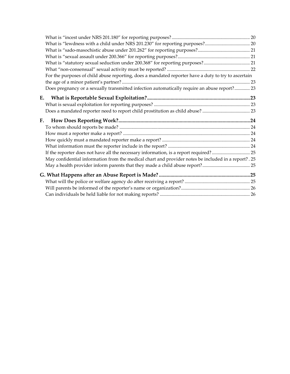| For the purposes of child abuse reporting, does a mandated reporter have a duty to try to ascertain   |  |
|-------------------------------------------------------------------------------------------------------|--|
|                                                                                                       |  |
| Does pregnancy or a sexually transmitted infection automatically require an abuse report? 23          |  |
| E.                                                                                                    |  |
|                                                                                                       |  |
|                                                                                                       |  |
|                                                                                                       |  |
|                                                                                                       |  |
| F.                                                                                                    |  |
|                                                                                                       |  |
|                                                                                                       |  |
|                                                                                                       |  |
|                                                                                                       |  |
| Alay confidential information from the medical chart and provider notes be included in a report? . 25 |  |
|                                                                                                       |  |
|                                                                                                       |  |
|                                                                                                       |  |
|                                                                                                       |  |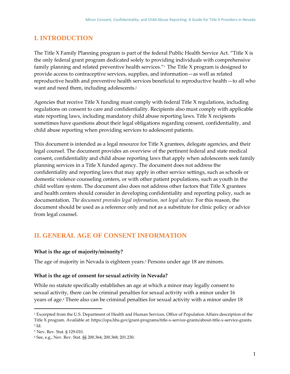# <span id="page-4-0"></span>**I. INTRODUCTION**

The Title X Family Planning program is part of the federal Public Health Service Act. "Title X is the only federal grant program dedicated solely to providing individuals with comprehensive family planning and related preventive health services." $1$  The Title X program is designed to provide access to contraceptive services, supplies, and information—as well as related reproductive health and preventive health services beneficial to reproductive health—to all who want and need them, including adolescents.<sup>2</sup>

Agencies that receive Title X funding must comply with federal Title X regulations, including regulations on consent to care and confidentiality. Recipients also must comply with applicable state reporting laws, including mandatory child abuse reporting laws. Title X recipients sometimes have questions about their legal obligations regarding consent, confidentiality, and child abuse reporting when providing services to adolescent patients.

This document is intended as a legal resource for Title X grantees, delegate agencies, and their legal counsel. The document provides an overview of the pertinent federal and state medical consent, confidentiality and child abuse reporting laws that apply when adolescents seek family planning services in a Title X funded agency. The document does not address the confidentiality and reporting laws that may apply in other service settings, such as schools or domestic violence counseling centers, or with other patient populations, such as youth in the child welfare system. The document also does not address other factors that Title X grantees and health centers should consider in developing confidentiality and reporting policy, such as documentation. *The document provides legal information, not legal advice*. For this reason, the document should be used as a reference only and not as a substitute for clinic policy or advice from legal counsel.

# <span id="page-4-1"></span>**II. GENERAL AGE OF CONSENT INFORMATION**

# <span id="page-4-2"></span>**What is the age of majority/minority?**

The age of majority in Nevada is eighteen years.<sup>3</sup> Persons under age 18 are minors.

### <span id="page-4-3"></span>**What is the age of consent for sexual activity in Nevada?**

While no statute specifically establishes an age at which a minor may legally consent to sexual activity, there can be criminal penalties for sexual activity with a minor under 16 years of age.<sup>4</sup> There also can be criminal penalties for sexual activity with a minor under 18

<sup>&</sup>lt;sup>1</sup> Excerpted from the U.S. Department of Health and Human Services, Office of Population Affairs description of the Title X program. Available at: https://opa.hhs.gov/grant-programs/title-x-service-grants/about-title-x-service-grants.  $2$  Id.

<sup>3</sup> Nev. Rev. Stat. § 129.010.

<sup>4</sup> See, e.g., Nev. Rev. Stat. §§ 200.364; 200.368; 201.230.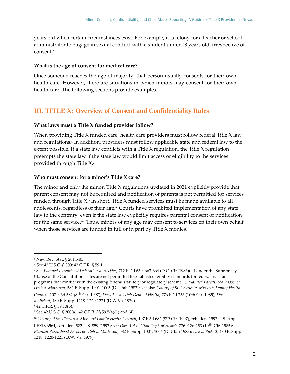years old when certain circumstances exist. For example, it is felony for a teacher or school administrator to engage in sexual conduct with a student under 18 years old, irrespective of consent.<sup>5</sup>

#### <span id="page-5-0"></span>**What is the age of consent for medical care?**

Once someone reaches the age of majority, that person usually consents for their own health care. However, there are situations in which minors may consent for their own health care. The following sections provide examples.

# <span id="page-5-1"></span>**III. TITLE X: Overview of Consent and Confidentiality Rules**

### <span id="page-5-2"></span>**What laws must a Title X funded provider follow?**

When providing Title X funded care, health care providers must follow federal Title X law and regulations.<sup>6</sup> In addition, providers must follow applicable state and federal law to the extent possible. If a state law conflicts with a Title X regulation, the Title X regulation preempts the state law if the state law would limit access or eligibility to the services provided through Title X.<sup>7</sup>

### <span id="page-5-3"></span>**Who must consent for a minor's Title X care?**

The minor and only the minor. Title X regulations updated in 2021 explicitly provide that parent consent may not be required and notification of parents is not permitted for services funded through Title X.<sup>8</sup> In short, Title X funded services must be made available to all adolescents, regardless of their age.<sup>9</sup> Courts have prohibited implementation of any state law to the contrary, even if the state law explicitly requires parental consent or notification for the same service.<sup>10</sup> Thus, minors of any age may consent to services on their own behalf when those services are funded in full or in part by Title X monies.

<sup>5</sup> Nev. Rev. Stat. § 201.540.

<sup>6</sup> See 42 U.S.C. § 300; 42 C.F.R. § 59.1.

<sup>7</sup> See *Planned Parenthood Federation v. Heckler*, 712 F. 2d 650, 663-664 (D.C. Cir. 1983)("[U]nder the Supremacy Clause of the Constitution states are not permitted to establish eligibility standards for federal assistance programs that conflict with the existing federal statutory or regulatory scheme."); *Planned Parenthood Assoc. of Utah v. Matheson*, 582 F. Supp. 1001, 1006 (D. Utah 1983); see also *County of St. Charles v. Missouri Family Health* 

*Council*, 107 F.3d 682 (8th Cir. 1997); *Does 1-4 v. Utah Dept. of Health*, 776 F.2d 253 (10th Cir. 1985); *Doe v. Pickett*, 480 F. Supp. 1218, 1220-1221 (D.W.Va. 1979).

<sup>8</sup> 42 C.F.R. § 59.10(b).

<sup>9</sup> See 42 U.S.C. § 300(a); 42 C.F.R. §§ 59.5(a)(1) and (4).

<sup>10</sup> *County of St. Charles v. Missouri Family Health Council*, 107 F.3d 682 (8th Cir. 1997), reh. den. 1997 U.S. App. LEXIS 6564, cert. den. 522 U.S. 859 (1997); see *Does 1-4 v. Utah Dept. of Health*, 776 F.2d 253 (10th Cir. 1985); *Planned Parenthood Assoc. of Utah v. Matheson*, 582 F. Supp. 1001, 1006 (D. Utah 1983); *Doe v. Pickett*, 480 F. Supp. 1218, 1220-1221 (D.W. Va. 1979).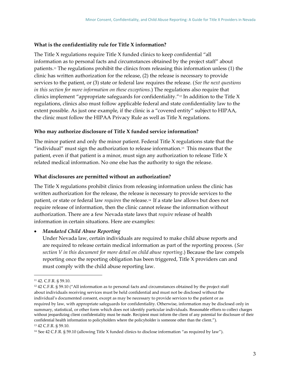### <span id="page-6-0"></span>**What is the confidentiality rule for Title X information?**

The Title X regulations require Title X funded clinics to keep confidential "all information as to personal facts and circumstances obtained by the project staff" about patients.<sup>11</sup> The regulations prohibit the clinics from releasing this information unless (1) the clinic has written authorization for the release, (2) the release is necessary to provide services to the patient, or (3) state or federal law requires the release. (*See the next questions in this section for more information on these exceptions.*) The regulations also require that clinics implement "appropriate safeguards for confidentiality."<sup>12</sup> In addition to the Title X regulations, clinics also must follow applicable federal and state confidentiality law to the extent possible. As just one example, if the clinic is a "covered entity" subject to HIPAA, the clinic must follow the HIPAA Privacy Rule as well as Title X regulations.

### <span id="page-6-1"></span>**Who may authorize disclosure of Title X funded service information?**

The minor patient and only the minor patient. Federal Title X regulations state that the "individual" must sign the authorization to release information. $^{13}$  This means that the patient, even if that patient is a minor, must sign any authorization to release Title X related medical information. No one else has the authority to sign the release.

#### <span id="page-6-2"></span>**What disclosures are permitted without an authorization?**

The Title X regulations prohibit clinics from releasing information unless the clinic has written authorization for the release, the release is necessary to provide services to the patient, or state or federal law *requires* the release.<sup>14</sup> If a state law allows but does not require release of information, then the clinic cannot release the information without authorization. There are a few Nevada state laws that *require* release of health information in certain situations. Here are examples:

#### • *Mandated Child Abuse Reporting*

Under Nevada law, certain individuals are required to make child abuse reports and are required to release certain medical information as part of the reporting process. (*See section V in this document for more detail on child abuse reporting*.) Because the law compels reporting once the reporting obligation has been triggered, Title X providers can and must comply with the child abuse reporting law.

<sup>11</sup> 42. C.F.R. § 59.10.

<sup>&</sup>lt;sup>12</sup> 42 C.F.R. § 59.10 ("All information as to personal facts and circumstances obtained by the project staff about individuals receiving services must be held confidential and must not be disclosed without the individual's documented consent, except as may be necessary to provide services to the patient or as required by law, with appropriate safeguards for confidentiality. Otherwise, information may be disclosed only in summary, statistical, or other form which does not identify particular individuals. Reasonable efforts to collect charges without jeopardizing client confidentiality must be made. Recipient must inform the client of any potential for disclosure of their confidential health information to policyholders where the policyholder is someone other than the client."). <sup>13</sup> 42 C.F.R. § 59.10.

<sup>14</sup> See 42 C.F.R. § 59.10 (allowing Title X funded clinics to disclose information "as required by law").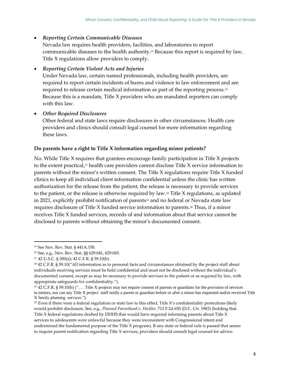# • *Reporting Certain Communicable Diseases*

Nevada law requires health providers, facilities, and laboratories to report communicable diseases to the health authority.<sup>15</sup> Because this report is required by law, Title X regulations allow providers to comply.

# • *Reporting Certain Violent Acts and Injuries*

Under Nevada law, certain named professionals, including health providers, are required to report certain incidents of burns and violence to law enforcement and are required to release certain medical information as part of the reporting process.<sup>16</sup> Because this is a mandate, Title X providers who are mandated reporters can comply with this law.

# • *Other Required Disclosures*

Other federal and state laws require disclosures in other circumstances. Health care providers and clinics should consult legal counsel for more information regarding these laws.

## <span id="page-7-0"></span>**Do parents have a right to Title X information regarding minor patients?**

No. While Title X requires that grantees encourage family participation in Title X projects to the extent practical,<sup>17</sup> health care providers cannot disclose Title X service information to parents without the minor's written consent. The Title X regulations require Title X funded clinics to keep all individual client information confidential unless the clinic has written authorization for the release from the patient, the release is necessary to provide services to the patient, or the release is otherwise required by law.<sup>18</sup> Title X regulations, as updated in 2021, explicitly prohibit notification of parents<sup>19</sup> and no federal or Nevada state law requires disclosure of Title X funded service information to parents.<sup>20</sup> Thus, if a minor receives Title X funded services, records of and information about that service cannot be disclosed to parents without obtaining the minor's documented consent.

<sup>15</sup> See Nev. Rev. Stat. § 441A.150.

<sup>16</sup> See, e.g., Nev. Rev. Stat. §§ 629.041, 629.045.

<sup>17</sup> 42 U.S.C. § 300(a); 42 C.F.R. § 59.10(b).

<sup>&</sup>lt;sup>18</sup> 42 C.F.R. § 59.10("All information as to personal facts and circumstances obtained by the project staff about individuals receiving services must be held confidential and must not be disclosed without the individual's documented consent, except as may be necessary to provide services to the patient or as required by law, with appropriate safeguards for confidentiality.").

<sup>19</sup> 42 C.F.R. § 59.10(b) (". . . Title X projects may not require consent of parents or guardians for the provision of services to minors, nor can any Title X project staff notify a parent or guardian before or after a minor has requested and/or received Title X family planning services.").

<sup>&</sup>lt;sup>20</sup> Even if there were a federal regulation or state law to this effect, Title X's confidentiality protections likely would prohibit disclosure. See, e.g., *Planned Parenthood v. Heckler*, 712 F.2d 650 (D.C. Cir. 1983) (holding that Title X federal regulations drafted by DHHS that would have required informing parents about Title X services to adolescents were unlawful because they were inconsistent with Congressional intent and undermined the fundamental purpose of the Title X program). If any state or federal rule is passed that seems to require parent notification regarding Title X services, providers should consult legal counsel for advice.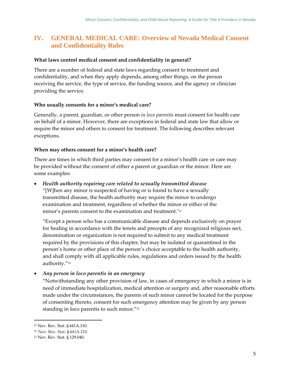# <span id="page-8-0"></span>**IV. GENERAL MEDICAL CARE: Overview of Nevada Medical Consent and Confidentiality Rules**

#### <span id="page-8-1"></span>**What laws control medical consent and confidentiality in general?**

There are a number of federal and state laws regarding consent to treatment and confidentiality, and when they apply depends, among other things, on the person receiving the service, the type of service, the funding source, and the agency or clinician providing the service.

#### <span id="page-8-2"></span>**Who usually consents for a minor's medical care?**

Generally, a parent, guardian, or other person *in loco parentis* must consent for health care on behalf of a minor. However, there are exceptions in federal and state law that allow or require the minor and others to consent for treatment. The following describes relevant exceptions.

#### <span id="page-8-3"></span>**When may others consent for a minor's health care?**

There are times in which third parties may consent for a minor's health care or care may be provided without the consent of either a parent or guardian or the minor. Here are some examples:

• *Health authority requiring care related to sexually transmitted disease*  "[W]hen any minor is suspected of having or is found to have a sexually transmitted disease, the health authority may require the minor to undergo examination and treatment, regardless of whether the minor or either of the minor's parents consent to the examination and treatment."<sup>21</sup>

"Except a person who has a communicable disease and depends exclusively on prayer for healing in accordance with the tenets and precepts of any recognized religious sect, denomination or organization is not required to submit to any medical treatment required by the provisions of this chapter, but may be isolated or quarantined in the person's home or other place of the person's choice acceptable to the health authority, and shall comply with all applicable rules, regulations and orders issued by the health authority."<sup>22</sup>

• *Any person in loco parentis in an emergency*

"Notwithstanding any other provision of law, in cases of emergency in which a minor is in need of immediate hospitalization, medical attention or surgery and, after reasonable efforts made under the circumstances, the parents of such minor cannot be located for the purpose of consenting thereto, consent for such emergency attention may be given by any person standing in loco parentis to such minor."<sup>23</sup>

<sup>21</sup> Nev. Rev. Stat. § 441A.310.

<sup>22</sup> Nev. Rev. Stat. § 441A.210.

<sup>23</sup> Nev. Rev. Stat. § 129.040.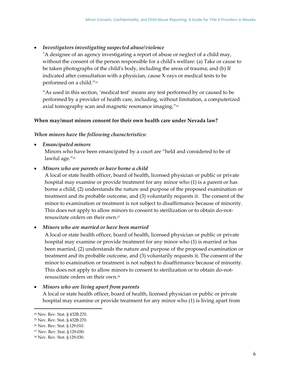#### • *Investigators investigating suspected abuse/violence*

"A designee of an agency investigating a report of abuse or neglect of a child may, without the consent of the person responsible for a child's welfare: (a) Take or cause to be taken photographs of the child's body, including the areas of trauma; and (b) If indicated after consultation with a physician, cause X-rays or medical tests to be performed on a child."<sup>24</sup>

"As used in this section, 'medical test' means any test performed by or caused to be performed by a provider of health care, including, without limitation, a computerized axial tomography scan and magnetic resonance imaging."<sup>25</sup>

#### <span id="page-9-0"></span>**When may/must minors consent for their own health care under Nevada law?**

#### *When minors have the following characteristics:*

• *Emancipated minors*

Minors who have been emancipated by a court are "held and considered to be of lawful age."<sup>26</sup>

#### • *Minors who are parents or have borne a child*

A local or state health officer, board of health, licensed physician or public or private hospital may examine or provide treatment for any minor who (1) is a parent or has borne a child, (2) understands the nature and purpose of the proposed examination or treatment and its probable outcome, and (3) voluntarily requests it. The consent of the minor to examination or treatment is not subject to disaffirmance because of minority. This does not apply to allow minors to consent to sterilization or to obtain do-notresuscitate orders on their own.<sup>27</sup>

#### • *Minors who are married or have been married*

A local or state health officer, board of health, licensed physician or public or private hospital may examine or provide treatment for any minor who (1) is married or has been married, (2) understands the nature and purpose of the proposed examination or treatment and its probable outcome, and (3) voluntarily requests it. The consent of the minor to examination or treatment is not subject to disaffirmance because of minority. This does not apply to allow minors to consent to sterilization or to obtain do-notresuscitate orders on their own.<sup>28</sup>

#### • *Minors who are living apart from parents*

A local or state health officer, board of health, licensed physician or public or private hospital may examine or provide treatment for any minor who (1) is living apart from

<sup>24</sup> Nev. Rev. Stat. § 432B.270.

<sup>25</sup> Nev. Rev. Stat. § 432B.270.

<sup>26</sup> Nev. Rev. Stat. § 129.010.

<sup>27</sup> Nev. Rev. Stat. § 129.030.

<sup>28</sup> Nev. Rev. Stat. § 129.030.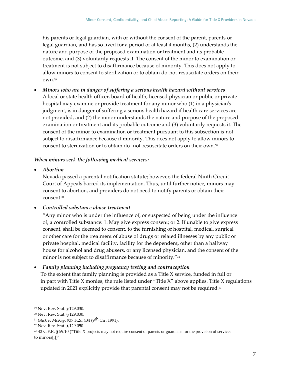his parents or legal guardian, with or without the consent of the parent, parents or legal guardian, and has so lived for a period of at least 4 months, (2) understands the nature and purpose of the proposed examination or treatment and its probable outcome, and (3) voluntarily requests it. The consent of the minor to examination or treatment is not subject to disaffirmance because of minority. This does not apply to allow minors to consent to sterilization or to obtain do-not-resuscitate orders on their own.<sup>29</sup>

• *Minors who are in danger of suffering a serious health hazard without services*  A local or state health officer, board of health, licensed physician or public or private hospital may examine or provide treatment for any minor who (1) in a physician's judgment, is in danger of suffering a serious health hazard if health care services are not provided, and (2) the minor understands the nature and purpose of the proposed examination or treatment and its probable outcome and (3) voluntarily requests it. The consent of the minor to examination or treatment pursuant to this subsection is not subject to disaffirmance because if minority. This does not apply to allow minors to consent to sterilization or to obtain do- not-resuscitate orders on their own.<sup>30</sup>

# *When minors seek the following medical services:*

• *Abortion*

Nevada passed a parental notification statute; however, the federal Ninth Circuit Court of Appeals barred its implementation. Thus, until further notice, minors may consent to abortion, and providers do not need to notify parents or obtain their consent.<sup>31</sup>

# • *Controlled substance abuse treatment*

"Any minor who is under the influence of, or suspected of being under the influence of, a controlled substance: 1. May give express consent; or 2. If unable to give express consent, shall be deemed to consent, to the furnishing of hospital, medical, surgical or other care for the treatment of abuse of drugs or related illnesses by any public or private hospital, medical facility, facility for the dependent, other than a halfway house for alcohol and drug abusers, or any licensed physician, and the consent of the minor is not subject to disaffirmance because of minority."<sup>32</sup>

# • *Family planning including pregnancy testing and contraception*

To the extent that family planning is provided as a Title X service, funded in full or in part with Title X monies, the rule listed under "Title X" above applies. Title X regulations updated in 2021 explicitly provide that parental consent may not be required.<sup>33</sup>

<sup>29</sup> Nev. Rev. Stat. § 129.030.

<sup>30</sup> Nev. Rev. Stat. § 129.030.

<sup>31</sup> *Glick v. McKay*, 937 F.2d 434 (9th Cir. 1991).

<sup>32</sup> Nev. Rev. Stat. § 129.050.

<sup>33</sup> 42 C.F.R. § 59.10 ("Title X projects may not require consent of parents or guardians for the provision of services to minors[.])"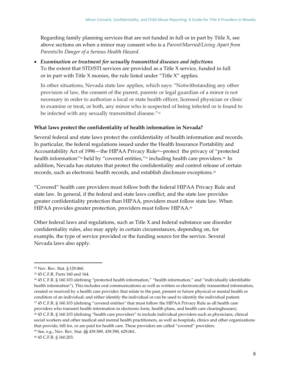Regarding family planning services that are not funded in full or in part by Title X, see above sections on when a minor may consent who is a *Parent/Married/Living Apart from Parents/In Danger of a Serious Health Hazard*.

• *Examination or treatment for sexually transmitted diseases and infections* To the extent that STD/STI services are provided as a Title X service, funded in full or in part with Title X monies, the rule listed under "Title X" applies.

In other situations, Nevada state law applies, which says: "Notwithstanding any other provision of law, the consent of the parent, parents or legal guardian of a minor is not necessary in order to authorize a local or state health officer, licensed physician or clinic to examine or treat, or both, any minor who is suspected of being infected or is found to be infected with any sexually transmitted disease."<sup>34</sup>

# <span id="page-11-0"></span>**What laws protect the confidentiality of health information in Nevada?**

Several federal and state laws protect the confidentiality of health information and records. In particular, the federal regulations issued under the Health Insurance Portability and Accountability Act of 1996—the HIPAA Privacy Rule35--protect the privacy of "protected health information"<sup>36</sup> held by "covered entities,"<sup>37</sup> including health care providers.<sup>38</sup> In addition, Nevada has statutes that protect the confidentiality and control release of certain records, such as electronic health records, and establish disclosure exceptions.<sup>39</sup>

"Covered" health care providers must follow both the federal HIPAA Privacy Rule and state law. In general, if the federal and state laws conflict, and the state law provides greater confidentiality protection than HIPAA, providers must follow state law. When HIPAA provides greater protection, providers must follow HIPAA.<sup>40</sup>

Other federal laws and regulations, such as Title X and federal substance use disorder confidentiality rules, also may apply in certain circumstances, depending on, for example, the type of service provided or the funding source for the service. Several Nevada laws also apply.

<sup>34</sup> Nev. Rev. Stat. § 129.060.

<sup>35</sup> 45 C.F.R. Parts 160 and 164.

<sup>36</sup> 45 C.F.R. § 160.103 (defining "protected health information," "health information," and "individually identifiable health information"). This includes oral communications as well as written or electronically transmitted information, created or received by a health care provider; that relate to the past, present or future physical or mental health or condition of an individual; and either identify the individual or can be used to identify the individual patient. <sup>37</sup> 45 C.F.R. § 160.103 (defining "covered entities" that must follow the HIPAA Privacy Rule as all health care providers who transmit health information in electronic form, health plans, and health care clearinghouses). <sup>38</sup> 45 C.F.R. § 160.103 (defining "health care providers" to include individual providers such as physicians, clinical social workers and other medical and mental health practitioners, as well as hospitals, clinics and other organizations that provide, bill for, or are paid for health care. These providers are called "covered" providers.

<sup>39</sup> See, e.g., Nev. Rev. Stat. §§ 439.589, 439.590, 629.061.

<sup>40</sup> 45 C.F.R. § 160.203.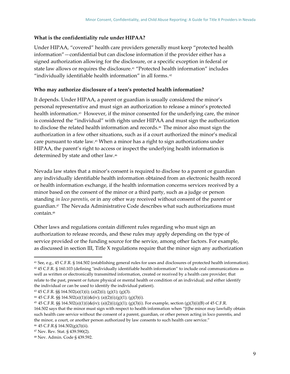### <span id="page-12-0"></span>**What is the confidentiality rule under HIPAA?**

Under HIPAA, "covered" health care providers generally must keep "protected health information"—confidential but can disclose information if the provider either has a signed authorization allowing for the disclosure, or a specific exception in federal or state law allows or requires the disclosure.<sup>41</sup> "Protected health information" includes "individually identifiable health information" in all forms. 42

### <span id="page-12-1"></span>**Who may authorize disclosure of a teen's protected health information?**

It depends. Under HIPAA, a parent or guardian is usually considered the minor's personal representative and must sign an authorization to release a minor's protected health information.<sup>43</sup> However, if the minor consented for the underlying care, the minor is considered the "individual" with rights under HIPAA and must sign the authorization to disclose the related health information and records.<sup>44</sup> The minor also must sign the authorization in a few other situations, such as if a court authorized the minor's medical care pursuant to state law.<sup>45</sup> When a minor has a right to sign authorizations under HIPAA, the parent's right to access or inspect the underlying health information is determined by state and other law.<sup>46</sup>

Nevada law states that a minor's consent is required to disclose to a parent or guardian any individually identifiable health information obtained from an electronic health record or health information exchange, if the health information concerns services received by a minor based on the consent of the minor or a third party, such as a judge or person standing *in loco parentis*, or in any other way received without consent of the parent or guardian.<sup>47</sup> The Nevada Administrative Code describes what such authorizations must contain.<sup>48</sup>

Other laws and regulations contain different rules regarding who must sign an authorization to release records, and these rules may apply depending on the type of service provided or the funding source for the service, among other factors. For example, as discussed in section III, Title X regulations require that the minor sign any authorization

<sup>41</sup> See, e.g., 45 C.F.R. § 164.502 (establishing general rules for uses and disclosures of protected health information). <sup>42</sup> 45 C.F.R. § 160.103 (defining "individually identifiable health information" to include oral communications as well as written or electronically transmitted information, created or received by a health care provider; that relate to the past, present or future physical or mental health or condition of an individual; and either identify the individual or can be used to identify the individual patient).

 $43$  45 C.F.R. §§ 164.502(a)(1)(i); (a)(2)(i); (g)(1); (g)(3).

<sup>&</sup>lt;sup>44</sup> 45 C.F.R. §§ 164.502(a)(1)(i)&(iv); (a)(2)(i);(g)(1); (g)(3)(i).

<sup>45</sup> 45 C.F.R. §§ 164.502(a)(1)(i)&(iv); (a)(2)(i);(g)(1); (g)(3)(i). For example, section (g)(3)(i)(B) of 45 C.F.R. 164.502 says that the minor must sign with respect to health information when "[t]he minor may lawfully obtain such health care service without the consent of a parent, guardian, or other person acting in loco parentis, and the minor, a court, or another person authorized by law consents to such health care service."

<sup>46</sup> 45 C.F.R.§ 164.502(g)(3)(ii).

<sup>47</sup> Nev. Rev. Stat. § 439.590(2).

<sup>48</sup> Nev. Admin. Code § 439.592.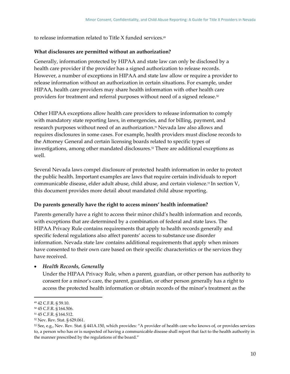to release information related to Title X funded services. 49

### <span id="page-13-0"></span>**What disclosures are permitted without an authorization?**

Generally, information protected by HIPAA and state law can only be disclosed by a health care provider if the provider has a signed authorization to release records. However, a number of exceptions in HIPAA and state law allow or require a provider to release information without an authorization in certain situations. For example, under HIPAA, health care providers may share health information with other health care providers for treatment and referral purposes without need of a signed release.<sup>50</sup>

Other HIPAA exceptions allow health care providers to release information to comply with mandatory state reporting laws, in emergencies, and for billing, payment, and research purposes without need of an authorization.<sup>51</sup> Nevada law also allows and requires disclosures in some cases. For example, health providers must disclose records to the Attorney General and certain licensing boards related to specific types of investigations, among other mandated disclosures.<sup>52</sup> There are additional exceptions as well.

Several Nevada laws compel disclosure of protected health information in order to protect the public health. Important examples are laws that require certain individuals to report communicable disease, elder adult abuse, child abuse, and certain violence.<sup>53</sup> In section V, this document provides more detail about mandated child abuse reporting.

### <span id="page-13-1"></span>**Do parents generally have the right to access minors' health information?**

Parents generally have a right to access their minor child's health information and records, with exceptions that are determined by a combination of federal and state laws. The HIPAA Privacy Rule contains requirements that apply to health records generally and specific federal regulations also affect parents' access to substance use disorder information. Nevada state law contains additional requirements that apply when minors have consented to their own care based on their specific characteristics or the services they have received.

### • *Health Records, Generally*

Under the HIPAA Privacy Rule, when a parent, guardian, or other person has authority to consent for a minor's care, the parent, guardian, or other person generally has a right to access the protected health information or obtain records of the minor's treatment as the

<sup>49</sup> 42 C.F.R. § 59.10.

<sup>50</sup> 45 C.F.R. § 164.506.

<sup>51</sup> 45 C.F.R. § 164.512.

<sup>52</sup> Nev. Rev. Stat. § 629.061.

<sup>53</sup> See, e.g., Nev. Rev. Stat. § 441A.150, which provides: "A provider of health care who knows of, or provides services to, a person who has or is suspected of having a communicable disease shall report that fact to the health authority in the manner prescribed by the regulations of the board."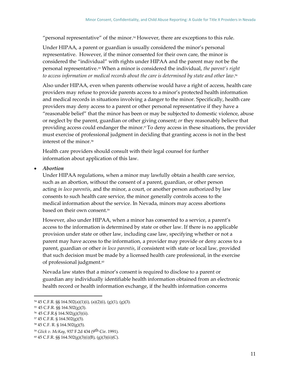"personal representative" of the minor. <sup>54</sup> However, there are exceptions to this rule.

Under HIPAA, a parent or guardian is usually considered the minor's personal representative. However, if the minor consented for their own care, the minor is considered the "individual" with rights under HIPAA and the parent may not be the personal representative. <sup>55</sup> When a minor is considered the individual, *the parent's right to access information or medical records about the care is determined by state and other law*. 56

Also under HIPAA, even when parents otherwise would have a right of access, health care providers may refuse to provide parents access to a minor's protected health information and medical records in situations involving a danger to the minor. Specifically, health care providers may deny access to a parent or other personal representative if they have a "reasonable belief" that the minor has been or may be subjected to domestic violence, abuse or neglect by the parent, guardian or other giving consent; *or* they reasonably believe that providing access could endanger the minor. <sup>57</sup>To deny access in these situations, the provider must exercise of professional judgment in deciding that granting access is not in the best interest of the minor <sup>58</sup>

Health care providers should consult with their legal counsel for further information about application of this law.

#### • *Abortion*

Under HIPAA regulations, when a minor may lawfully obtain a health care service, such as an abortion, without the consent of a parent, guardian, or other person acting *in loco parentis*, and the minor, a court, or another person authorized by law consents to such health care service, the minor generally controls access to the medical information about the service. In Nevada, minors may access abortions based on their own consent.<sup>59</sup>

However, also under HIPAA, when a minor has consented to a service, a parent's access to the information is determined by state or other law. If there is no applicable provision under state or other law, including case law, specifying whether or not a parent may have access to the information, a provider may provide or deny access to a parent, guardian or other *in loco parentis*, if consistent with state or local law, provided that such decision must be made by a licensed health care professional, in the exercise of professional judgment.<sup>60</sup>

Nevada law states that a minor's consent is required to disclose to a parent or guardian any individually identifiable health information obtained from an electronic health record or health information exchange, if the health information concerns

<sup>54</sup> 45 C.F.R. §§ 164.502(a)(1)(i), (a)(2)(i), (g)(1), (g)(3).

<sup>55</sup> 45 C.F.R. §§ 164.502(g)(3).

<sup>56</sup> 45 C.F.R.§ 164.502(g)(3)(ii).

<sup>57</sup> 45 C.F.R. § 164.502(g)(5).

<sup>58</sup> 45 C.F. R. § 164.502(g)(5).

<sup>59</sup> *Glick v. McKay*, 937 F.2d 434 (9th Cir. 1991).

<sup>60</sup> 45 C.F.R. §§ 164.502(g)(3)(i)(B), (g)(3)(ii)(C).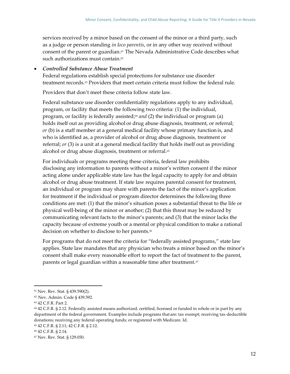services received by a minor based on the consent of the minor or a third party, such as a judge or person standing *in loco parentis*, or in any other way received without consent of the parent or guardian. <sup>61</sup> The Nevada Administrative Code describes what such authorizations must contain.<sup>62</sup>

## • *Controlled Substance Abuse Treatment*

Federal regulations establish special protections for substance use disorder treatment records.<sup>63</sup> Providers that meet certain criteria must follow the federal rule.

Providers that don't meet these criteria follow state law.

Federal substance use disorder confidentiality regulations apply to any individual, program, or facility that meets the following two criteria: (1) the individual, program, or facility is federally assisted;<sup>64</sup> *and* (2) the individual or program (a) holds itself out as providing alcohol or drug abuse diagnosis, treatment, or referral; *or* (b) is a staff member at a general medical facility whose primary function is, and who is identified as, a provider of alcohol or drug abuse diagnosis, treatment or referral; *or* (3) is a unit at a general medical facility that holds itself out as providing alcohol or drug abuse diagnosis, treatment or referral.<sup>65</sup>

For individuals or programs meeting these criteria, federal law prohibits disclosing any information to parents without a minor's written consent if the minor acting alone under applicable state law has the legal capacity to apply for and obtain alcohol or drug abuse treatment. If state law requires parental consent for treatment, an individual or program may share with parents the fact of the minor's application for treatment if the individual or program director determines the following three conditions are met: (1) that the minor's situation poses a substantial threat to the life or physical well-being of the minor or another; (2) that this threat may be reduced by communicating relevant facts to the minor's parents; and (3) that the minor lacks the capacity because of extreme youth or a mental or physical condition to make a rational decision on whether to disclose to her parents.<sup>66</sup>

For programs that do not meet the criteria for "federally assisted programs," state law applies. State law mandates that any physician who treats a minor based on the minor's consent shall make every reasonable effort to report the fact of treatment to the parent, parents or legal guardian within a reasonable time after treatment.<sup>67</sup>

<sup>61</sup> Nev. Rev. Stat. § 439.590(2).

<sup>62</sup> Nev. Admin. Code § 439.592.

<sup>63</sup> 42 C.F.R. Part 2.

<sup>64</sup> 42 C.F.R. § 2.12. Federally assisted means authorized, certified, licensed or funded in whole or in part by any department of the federal government. Examples include programs that are: tax exempt; receiving tax-deductible donations; receiving any federal operating funds; or registered with Medicare. Id.

<sup>65</sup> 42 C.F.R. § 2.11; 42 C.F.R. § 2.12.

<sup>66</sup> 42 C.F.R. § 2.14.

<sup>67</sup> Nev. Rev. Stat. § 129.050.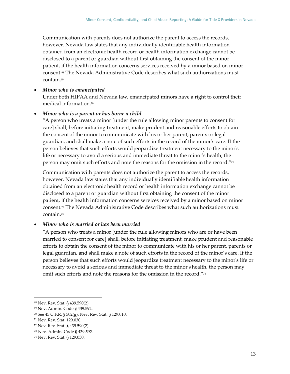Communication with parents does not authorize the parent to access the records, however. Nevada law states that any individually identifiable health information obtained from an electronic health record or health information exchange cannot be disclosed to a parent or guardian without first obtaining the consent of the minor patient, if the health information concerns services received by a minor based on minor consent.<sup>68</sup> The Nevada Administrative Code describes what such authorizations must contain.<sup>69</sup>

• *Minor who is emancipated*

Under both HIPAA and Nevada law, emancipated minors have a right to control their medical information.<sup>70</sup>

#### • *Minor who is a parent or has borne a child*

"A person who treats a minor [under the rule allowing minor parents to consent for care] shall, before initiating treatment, make prudent and reasonable efforts to obtain the consentof the minor to communicate with his or her parent, parents or legal guardian, and shall make a note of such efforts in the record of the minor's care. If the person believes that such efforts would jeopardize treatment necessary to the minor's life or necessary to avoid a serious and immediate threat to the minor's health, the person may omit such efforts and note the reasons for the omission in the record."<sup>71</sup>

Communication with parents does not authorize the parent to access the records, however. Nevada law states that any individually identifiable health information obtained from an electronic health record or health information exchange cannot be disclosed to a parent or guardian without first obtaining the consent of the minor patient, if the health information concerns services received by a minor based on minor consent.<sup>72</sup> The Nevada Administrative Code describes what such authorizations must contain.<sup>73</sup>

### • *Minor who is married or has been married*

"A person who treats a minor [under the rule allowing minors who are or have been married to consent for care] shall, before initiating treatment, make prudent and reasonable efforts to obtain the consent of the minor to communicate with his or her parent, parents or legal guardian, and shall make a note of such efforts in the record of the minor's care. If the person believes that such efforts would jeopardize treatment necessary to the minor's life or necessary to avoid a serious and immediate threat to the minor's health, the person may omit such efforts and note the reasons for the omission in the record."<sup>74</sup>

<sup>68</sup> Nev. Rev. Stat. § 439.590(2).

<sup>69</sup> Nev. Admin. Code § 439.592.

<sup>70</sup> See 45 C.F.R. § 502(g); Nev. Rev. Stat. § 129.010.

<sup>71</sup> Nev. Rev. Stat. 129.030.

<sup>72</sup> Nev. Rev. Stat. § 439.590(2).

<sup>73</sup> Nev. Admin. Code § 439.592.

<sup>74</sup> Nev. Rev. Stat. § 129.030.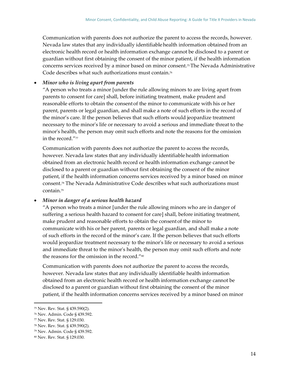Communication with parents does not authorize the parent to access the records, however. Nevada law states that any individually identifiablehealth information obtained from an electronic health record or health information exchange cannot be disclosed to a parent or guardian without first obtaining the consent of the minor patient, if the health information concerns services received by a minor based on minor consent.<sup>75</sup> The Nevada Administrative Code describes what such authorizations must contain.<sup>76</sup>

## • *Minor who is living apart from parents*

"A person who treats a minor [under the rule allowing minors to are living apart from parents to consent for care] shall, before initiating treatment, make prudent and reasonable efforts to obtain the consentof the minor to communicate with his or her parent, parents or legal guardian, and shall make a note of such efforts in the record of the minor's care. If the person believes that such efforts would jeopardize treatment necessary to the minor's life or necessary to avoid a serious and immediate threat to the minor's health, the person may omit such efforts and note the reasons for the omission in the record." $77$ 

Communication with parents does not authorize the parent to access the records, however. Nevada law states that any individually identifiable health information obtained from an electronic health record or health information exchange cannot be disclosed to a parent or guardian without first obtaining the consent of the minor patient, if the health information concerns services received by a minor based on minor consent.<sup>78</sup> The Nevada Administrative Code describes what such authorizations must contain.<sup>79</sup>

### • *Minor in danger of a serious health hazard*

"A person who treats a minor [under the rule allowing minors who are in danger of suffering a serious health hazard to consent for care] shall, before initiating treatment, make prudent and reasonable efforts to obtain the consentof the minor to communicate with his or her parent, parents or legal guardian, and shall make a note of such efforts in the record of the minor's care. If the person believes that such efforts would jeopardize treatment necessary to the minor's life or necessary to avoid a serious and immediate threat to the minor's health, the person may omit such efforts and note the reasons for the omission in the record."<sup>80</sup>

Communication with parents does not authorize the parent to access the records, however. Nevada law states that any individually identifiable health information obtained from an electronic health record or health information exchange cannot be disclosed to a parent or guardian without first obtaining the consent of the minor patient, if the health information concerns services received by a minor based on minor

<sup>75</sup> Nev. Rev. Stat. § 439.590(2).

<sup>76</sup> Nev. Admin. Code § 439.592.

<sup>77</sup> Nev. Rev. Stat. § 129.030.

<sup>78</sup> Nev. Rev. Stat. § 439.590(2).

<sup>79</sup> Nev. Admin. Code § 439.592.

<sup>80</sup> Nev. Rev. Stat. § 129.030.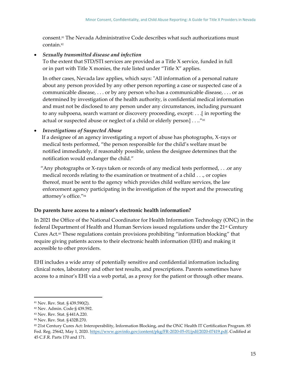consent.<sup>81</sup> The Nevada Administrative Code describes what such authorizations must contain.<sup>82</sup>

## • *Sexually transmitted disease and infection*

To the extent that STD/STI services are provided as a Title X service, funded in full or in part with Title X monies, the rule listed under "Title X" applies.

In other cases, Nevada law applies, which says: "All information of a personal nature about any person provided by any other person reporting a case or suspected case of a communicable disease, . . . or by any person who has a communicable disease, . . . or as determined by investigation of the health authority, is confidential medical information and must not be disclosed to any person under any circumstances, including pursuant to any subpoena, search warrant or discovery proceeding, except: . . .[ in reporting the actual or suspected abuse or neglect of a child or elderly person]...."<sup>83</sup>

# • *Investigations of Suspected Abuse*

If a designee of an agency investigating a report of abuse has photographs, X-rays or medical tests performed, "the person responsible for the child's welfare must be notified immediately, if reasonably possible, unless the designee determines that the notification would endanger the child."

"Any photographs or X-rays taken or records of any medical tests performed, . . .or any medical records relating to the examination or treatment of a child . . ., or copies thereof, must be sent to the agency which provides child welfare services, the law enforcement agency participating in the investigation of the report and the prosecuting attorney's office."<sup>84</sup>

# <span id="page-18-0"></span>**Do parents have access to a minor's electronic health information?**

In 2021 the Office of the National Coordinator for Health Information Technology (ONC) in the federal Department of Health and Human Services issued regulations under the 21<sup>st</sup> Century Cures Act.<sup>85</sup> These regulations contain provisions prohibiting "information blocking" that require giving patients access to their electronic health information (EHI) and making it accessible to other providers.

EHI includes a wide array of potentially sensitive and confidential information including clinical notes, laboratory and other test results, and prescriptions. Parents sometimes have access to a minor's EHI via a web portal, as a proxy for the patient or through other means.

<sup>81</sup> Nev. Rev. Stat. § 439.590(2).

<sup>82</sup> Nev. Admin. Code § 439.592.

<sup>83</sup> Nev. Rev. Stat. § 441A.220.

<sup>84</sup> Nev. Rev. Stat. § 432B.270.

<sup>85</sup> 21st Century Cures Act: Interoperability, Information Blocking, and the ONC Health IT Certification Program. 85 Fed. Reg. 25642, May 1, 2020. [https://www.govinfo.gov/content/pkg/FR-2020-05-01/pdf/2020-07419.pdf.](https://www.govinfo.gov/content/pkg/FR-2020-05-01/pdf/2020-07419.pdf) Codified at 45 C.F.R. Parts 170 and 171.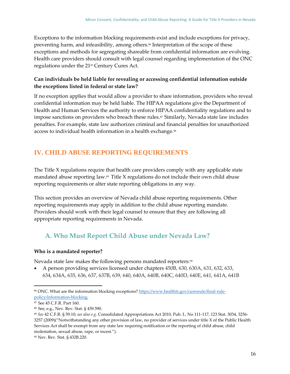Exceptions to the information blocking requirements exist and include exceptions for privacy, preventing harm, and infeasibility, among others. <sup>86</sup> Interpretation of the scope of these exceptions and methods for segregating shareable from confidential information are evolving. Health care providers should consult with legal counsel regarding implementation of the ONC regulations under the 21st Century Cures Act.

# <span id="page-19-0"></span>**Can individuals be held liable for revealing or accessing confidential information outside the exceptions listed in federal or state law?**

If no exception applies that would allow a provider to share information, providers who reveal confidential information may be held liable. The HIPAA regulations give the Department of Health and Human Services the authority to enforce HIPAA confidentiality regulations and to impose sanctions on providers who breach these rules.<sup>87</sup> Similarly, Nevada state law includes penalties. For example, state law authorizes criminal and financial penalties for unauthorized access to individual health information in a health exchange.<sup>88</sup>

# <span id="page-19-1"></span>**IV. CHILD ABUSE REPORTING REQUIREMENTS**

The Title X regulations require that health care providers comply with any applicable state mandated abuse reporting law.<sup>89</sup> Title X regulations do not include their own child abuse reporting requirements or alter state reporting obligations in any way.

This section provides an overview of Nevada child abuse reporting requirements. Other reporting requirements may apply in addition to the child abuse reporting mandate. Providers should work with their legal counsel to ensure that they are following all appropriate reporting requirements in Nevada.

# <span id="page-19-2"></span>**A. Who Must Report Child Abuse under Nevada Law?**

# <span id="page-19-3"></span>**Who is a mandated reporter?**

Nevada state law makes the following persons mandated reporters:<sup>90</sup>

• A person providing services licensed under chapters 450B, 630, 630A, 631, 632, 633, 634, 634A, 635, 636, 637, 637B, 639, 640, 640A, 640B, 640C, 640D, 640E, 641, 641A, 641B

<sup>86</sup> ONC. What are the information blocking exceptions[? https://www.healthit.gov/curesrule/final-rule](https://www.healthit.gov/curesrule/final-rule-policy/information-blocking)[policy/information-blocking.](https://www.healthit.gov/curesrule/final-rule-policy/information-blocking)

<sup>87</sup> See 45 C.F.R. Part 160.

<sup>88</sup> See, e.g., Nev. Rev. Stat. § 439.590.

<sup>89</sup> *See* 42 C.F.R. § 59.10; *see also e.g*. Consolidated Appropriations Act 2010, Pub. L. No 111-117, 123 Stat. 3034, 3256- 3257 (2009)("Notwithstanding any other provision of law, no provider of services under title X of the Public Health Services Act shall be exempt from any state law requiring notification or the reporting of child abuse, child molestation, sexual abuse, rape, or incest.").

<sup>90</sup> Nev. Rev. Stat. § 432B.220.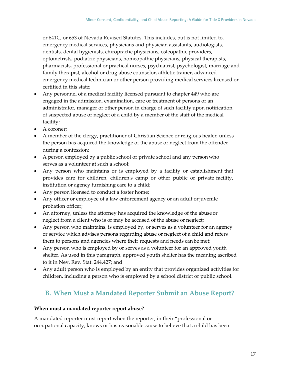or 641C, or 653 of Nevada Revised Statutes. This includes, but is not limited to, emergency medical services, physicians and physician assistants, audiologists, dentists, dental hygienists, chiropractic physicians, osteopathic providers, optometrists, podiatric physicians, homeopathic physicians, physical therapists, pharmacists, professional or practical nurses, psychiatrist, psychologist, marriage and family therapist, alcohol or drug abuse counselor, athletic trainer, advanced emergency medical technician or other person providing medical services licensed or certified in this state;

- Any personnel of a medical facility licensed pursuant to chapter 449 who are engaged in the admission, examination, care or treatment of persons or an administrator, manager or other person in charge of such facility upon notification of suspected abuse or neglect of a child by a member of the staff of the medical facility;
- A coroner;
- A member of the clergy, practitioner of Christian Science or religious healer, unless the person has acquired the knowledge of the abuse or neglect from the offender during a confession;
- A person employed by a public school or private school and any person who serves as a volunteer at such a school;
- Any person who maintains or is employed by a facility or establishment that provides care for children, children's camp or other public or private facility, institution or agency furnishing care to a child;
- Any person licensed to conduct a foster home;
- Any officer or employee of a law enforcement agency or an adult or juvenile probation officer;
- An attorney, unless the attorney has acquired the knowledge of the abuse or neglect from a client who is or may be accused of the abuse or neglect;
- Any person who maintains, is employed by, or serves as a volunteer for an agency or service which advises persons regarding abuse or neglect of a child and refers them to persons and agencies where their requests and needs can be met;
- Any person who is employed by or serves as a volunteer for an approved youth shelter. As used in this paragraph, approved youth shelter has the meaning ascribed to it in Nev. Rev. Stat. 244.427; and
- Any adult person who is employed by an entity that provides organized activities for children, including a person who is employed by a school district or public school.

# <span id="page-20-0"></span>**B. When Must a Mandated Reporter Submit an Abuse Report?**

# <span id="page-20-1"></span>**When must a mandated reporter report abuse?**

A mandated reporter must report when the reporter, in their "professional or occupational capacity, knows or has reasonable cause to believe that a child has been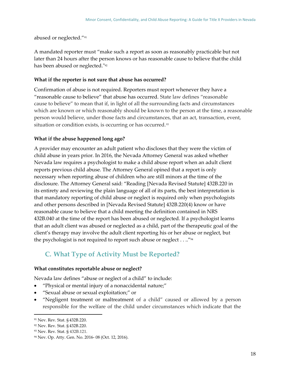abused or neglected."<sup>91</sup>

A mandated reporter must "make such a report as soon as reasonably practicable but not later than 24 hours after the person knows or has reasonable cause to believe thatthe child has been abused or neglected."<sup>92</sup>

#### <span id="page-21-0"></span>**What if the reporter is not sure that abuse has occurred?**

Confirmation of abuse is not required. Reporters must report whenever they have a "reasonable cause to believe" that abuse has occurred. State law defines "reasonable cause to believe" to mean that if, in light of all the surrounding facts and circumstances which are known or which reasonably should be known to the person at the time, a reasonable person would believe, under those facts and circumstances, that an act, transaction, event, situation or condition exists, is occurring or has occurred.<sup>93</sup>

### <span id="page-21-1"></span>**What if the abuse happened long ago?**

A provider may encounter an adult patient who discloses that they were the victim of child abuse in years prior. In 2016, the Nevada Attorney General was asked whether Nevada law requires a psychologist to make a child abuse report when an adult client reports previous child abuse. The Attorney General opined that a report is only necessary when reporting abuse of children who are still minors at the time of the disclosure. The Attorney General said: "Reading [Nevada Revised Statute] 432B.220 in its entirety and reviewing the plain language of all of its parts, the best interpretation is that mandatory reporting of child abuse or neglect is required only when psychologists and other persons described in [Nevada Revised Statute] 432B.220(4) know or have reasonable cause to believe that a child meeting the definition contained in NRS 432B.040 at the time of the report has been abused or neglected. If a psychologist learns that an adult client was abused or neglected as a child, part of the therapeutic goal of the client's therapy may involve the adult client reporting his or her abuse or neglect, but the psychologist is not required to report such abuse or neglect . . .."<sup>94</sup>

# <span id="page-21-2"></span>**C. What Type of Activity Must be Reported?**

#### <span id="page-21-3"></span>**What constitutes reportable abuse or neglect?**

Nevada law defines "abuse or neglect of a child" to include:

- "Physical or mental injury of a nonaccidental nature;"
- "Sexual abuse or sexual exploitation;" or
- "Negligent treatment or maltreatment of a child" caused or allowed by a person responsible for the welfare of the child under circumstances which indicate that the

<sup>91</sup> Nev. Rev. Stat. § 432B.220.

<sup>92</sup> Nev. Rev. Stat. § 432B.220.

<sup>93</sup> Nev. Rev. Stat. § 432B.121.

<sup>94</sup> Nev. Op. Atty. Gen. No. 2016- 08 (Oct. 12, 2016).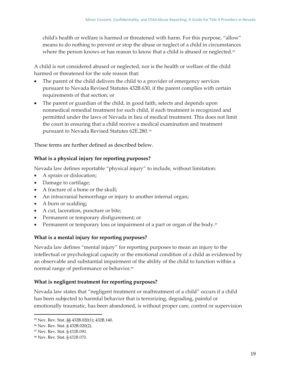child's health or welfare is harmed or threatened with harm. For this purpose, "allow" means to do nothing to prevent or stop the abuse or neglect of a child in circumstances where the person knows or has reason to know that a child is abused or neglected.<sup>95</sup>

A child is not considered abused or neglected, nor is the health or welfare of the child harmed or threatened for the sole reason that:

- The parent of the child delivers the child to a provider of emergency services pursuant to Nevada Revised Statutes 432B.630, if the parent complies with certain requirements of that section; or
- The parent or guardian of the child, in good faith, selects and depends upon nonmedical remedial treatment for such child, if such treatment is recognized and permitted under the laws of Nevada in lieu of medical treatment. This does not limit the court in ensuring that a child receive a medical examination and treatment pursuant to Nevada Revised Statutes 62E.280. <sup>96</sup>

These terms are further defined as described below.

# <span id="page-22-0"></span>**What is a physical injury for reporting purposes?**

Nevada law defines reportable "physical injury" to include, without limitation:

- A sprain or dislocation;
- Damage to cartilage;
- A fracture of a bone or the skull;
- An intracranial hemorrhage or injury to another internal organ;
- A burn or scalding;
- A cut, laceration, puncture or bite;
- Permanent or temporary disfigurement; or
- Permanent or temporary loss or impairment of a part or organ of the body.<sup>97</sup>

# <span id="page-22-1"></span>**What is a mental injury for reporting purposes?**

Nevada law defines "mental injury" for reporting purposes to mean an injury to the intellectual or psychological capacity or the emotional condition of a child as evidenced by an observable and substantial impairment of the ability of the child to function within a normal range of performance or behavior.<sup>98</sup>

# <span id="page-22-2"></span>**What is negligent treatment for reporting purposes?**

Nevada law states that "negligent treatment or maltreatment of a child" occurs if a child has been subjected to harmful behavior that is terrorizing, degrading, painful or emotionally traumatic, has been abandoned, is without proper care, control or supervision

<sup>95</sup> Nev. Rev. Stat. §§ 432B.020(1); 432B.140.

<sup>96</sup> Nev. Rev. Stat. § 432B.020(2).

<sup>97</sup> Nev. Rev. Stat. § 432B.090.

<sup>98</sup> Nev. Rev. Stat. § 432B.070.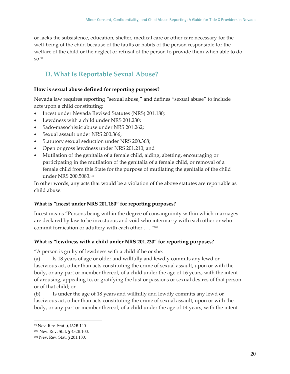or lacks the subsistence, education, shelter, medical care or other care necessary for the well-being of the child because of the faults or habits of the person responsible for the welfare of the child or the neglect or refusal of the person to provide them when able to do so.<sup>99</sup>

# <span id="page-23-0"></span>**D. What Is Reportable Sexual Abuse?**

## <span id="page-23-1"></span>**How is sexual abuse defined for reporting purposes?**

Nevada law requires reporting "sexual abuse," and defines "sexual abuse" to include acts upon a child constituting:

- Incest under Nevada Revised Statutes (NRS) 201.180;
- Lewdness with a child under NRS 201.230;
- Sado-masochistic abuse under NRS 201.262;
- Sexual assault under NRS 200.366;
- Statutory sexual seduction under NRS 200.368;
- Open or gross lewdness under NRS 201.210; and
- Mutilation of the genitalia of a female child, aiding, abetting, encouraging or participating in the mutilation of the genitalia of a female child, or removal of a female child from this State for the purpose of mutilating the genitalia of the child under NRS 200.5083.<sup>100</sup>

In other words, any acts that would be a violation of the above statutes are reportable as child abuse.

# <span id="page-23-2"></span>**What is "incest under NRS 201.180" for reporting purposes?**

Incest means "Persons being within the degree of consanguinity within which marriages are declared by law to be incestuous and void who intermarry with each other or who commit fornication or adultery with each other . . .."<sup>101</sup>

### <span id="page-23-3"></span>**What is "lewdness with a child under NRS 201.230" for reporting purposes?**

"A person is guilty of lewdness with a child if he or she:

(a) Is 18 years of age or older and willfully and lewdly commits any lewd or lascivious act, other than acts constituting the crime of sexual assault, upon or with the body, or any part or member thereof, of a child under the age of 16 years, with the intent of arousing, appealing to, or gratifying the lust or passions or sexual desires of that person or of that child; or

(b) Is under the age of 18 years and willfully and lewdly commits any lewd or lascivious act, other than acts constituting the crime of sexual assault, upon or with the body, or any part or member thereof, of a child under the age of 14 years, with the intent

<sup>99</sup> Nev. Rev. Stat. § 432B.140.

<sup>100</sup> Nev. Rev. Stat. § 432B.100.

<sup>101</sup> Nev. Rev. Stat. § 201.180.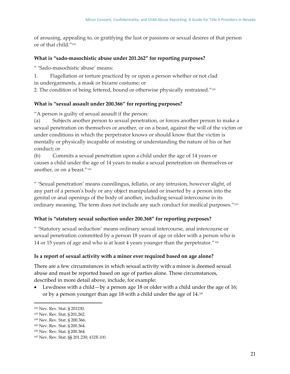of arousing, appealing to, or gratifying the lust or passions or sexual desires of that person or of that child."<sup>102</sup>

## <span id="page-24-0"></span>**What is "sado-masochistic abuse under 201.262" for reporting purposes?**

" 'Sado-masochistic abuse' means:

- 1. Flagellation or torture practiced by or upon a person whether or not clad in undergarments, a mask or bizarre costume; or
- 2. The condition of being fettered, bound or otherwise physically restrained."103

# <span id="page-24-1"></span>**What is "sexual assault under 200.366" for reporting purposes?**

"A person is guilty of sexual assault if the person:

(a) Subjects another person to sexual penetration, or forces another person to make a sexual penetration on themselves or another, or on a beast, against the will of the victim or under conditions in which the perpetrator knows or should know that the victim is mentally or physically incapable of resisting or understanding the nature of his or her conduct; or

(b) Commits a sexual penetration upon a child under the age of 14 years or causes a child under the age of 14 years to make a sexual penetration on themselves or another, or on a beast."<sup>104</sup>

" 'Sexual penetration' means cunnilingus, fellatio, or any intrusion, however slight, of any part of a person's body or any object manipulated or inserted by a person into the genital or anal openings of the body of another, including sexual intercourse in its ordinary meaning. The term does not include any such conduct for medical purposes."105

# <span id="page-24-2"></span>**What is "statutory sexual seduction under 200.368" for reporting purposes?**

" 'Statutory sexual seduction' means ordinary sexual intercourse, anal intercourse or sexual penetration committed by a person 18 years of age or older with a person who is 14 or 15 years of age and who is at least 4 years younger than the perpetrator."<sup>106</sup>

### **Is a report of sexual activity with a minor ever required based on age alone?**

There are a few circumstances in which sexual activity with a minor is deemed sexual abuse and must be reported based on age of parties alone. These circumstances, described in more detail above, include, for example:

• Lewdness with a child—by a person age 18 or older with a child under the age of 16; or by a person younger than age 18 with a child under the age of 14.107

<sup>102</sup> Nev. Rev. Stat. § 201230.

<sup>103</sup> Nev. Rev. Stat. § 201.262.

<sup>104</sup> Nev. Rev. Stat. § 200.366.

<sup>105</sup> Nev. Rev. Stat. § 200.364.

<sup>106</sup> Nev. Rev. Stat. § 200.364.

<sup>107</sup> Nev. Rev. Stat. §§ 201.230; 432B.100.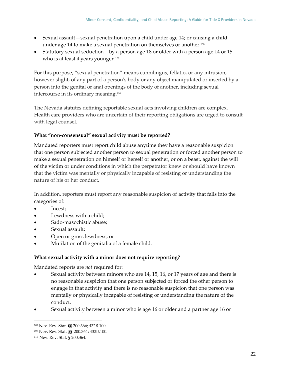- Sexual assault—sexual penetration upon a child under age 14; or causing a child under age 14 to make a sexual penetration on themselves or another.<sup>108</sup>
- Statutory sexual seduction—by a person age 18 or older with a person age 14 or 15 who is at least 4 years younger. 109

For this purpose, "sexual penetration" means cunnilingus, fellatio, or any intrusion, however slight, of any part of a person's body or any object manipulated or inserted by a person into the genital or anal openings of the body of another, including sexual intercourse in its ordinary meaning.<sup>110</sup>

The Nevada statutes defining reportable sexual acts involving children are complex. Health care providers who are uncertain of their reporting obligations are urged to consult with legal counsel.

# <span id="page-25-0"></span>**What "non-consensual" sexual activity must be reported?**

Mandated reporters must report child abuse anytime they have a reasonable suspicion that one person subjected another person to sexual penetration or forced another person to make a sexual penetration on himself or herself or another, or on a beast, against the will of the victim or under conditions in which the perpetrator knew or should have known that the victim was mentally or physically incapable of resisting or understanding the nature of his or her conduct.

In addition, reporters must report any reasonable suspicion of activity that falls into the categories of:

- Incest;
- Lewdness with a child;
- Sado-masochistic abuse;
- Sexual assault;
- Open or gross lewdness; or
- Mutilation of the genitalia of a female child.

# **What sexual activity with a minor does not require reporting?**

Mandated reports are *not* required for:

- Sexual activity between minors who are 14, 15, 16, or 17 years of age and there is no reasonable suspicion that one person subjected or forced the other person to engage in that activity and there is no reasonable suspicion that one person was mentally or physically incapable of resisting or understanding the nature of the conduct.
- Sexual activity between a minor who is age 16 or older and a partner age 16 or

<sup>108</sup> Nev. Rev. Stat. §§ 200.366; 432B.100.

<sup>109</sup> Nev. Rev. Stat. §§ 200.364; 432B.100.

<sup>110</sup> Nev. Rev. Stat. § 200.364.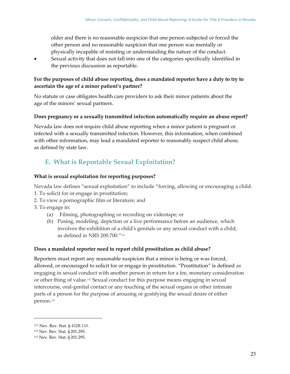older and there is no reasonable suspicion that one person subjected or forced the other person and no reasonable suspicion that one person was mentally or physically incapable of resisting or understanding the nature of the conduct.

• Sexual activity that does not fall into one of the categories specifically identified in the previous discussion as reportable.

# <span id="page-26-0"></span>**For the purposes of child abuse reporting, does a mandated reporter have a duty to try to ascertain the age of a minor patient's partner?**

No statute or case obligates health care providers to ask their minor patients about the age of the minors' sexual partners.

## <span id="page-26-1"></span>**Does pregnancy or a sexually transmitted infection automatically require an abuse report?**

Nevada law does not require child abuse reporting when a minor patient is pregnant or infected with a sexually transmitted infection. However, this information, when combined with other information, may lead a mandated reporter to reasonably suspect child abuse, as defined by state law.

# <span id="page-26-2"></span>**E. What is Reportable Sexual Exploitation?**

# <span id="page-26-3"></span>**What is sexual exploitation for reporting purposes?**

Nevada law defines "sexual exploitation" to include "forcing, allowing or encouraging a child: 1. To solicit for or engage in prostitution;

- 2. To view a pornographic film or literature; and
- 3. To engage in:
	- (a) Filming, photographing or recording on videotape; or
	- (b) Posing, modeling, depiction or a live performance before an audience, which involves the exhibition of a child's genitals or any sexual conduct with a child, as defined in NRS 200.700."<sup>111</sup>

# <span id="page-26-4"></span>**Does a mandated reporter need to report child prostitution as child abuse?**

Reporters must report any reasonable suspicion that a minor is being or was forced, allowed, or encouraged to solicit for or engage in prostitution. "Prostitution" is defined as engaging in sexual conduct with another person in return for a fee, monetary consideration or other thing of value.<sup>112</sup> Sexual conduct for this purpose means engaging in sexual intercourse, oral-genital contact or any touching of the sexual organs or other intimate parts of a person for the purpose of arousing or gratifying the sexual desire of either person.<sup>113</sup>

<sup>111</sup> Nev. Rev. Stat. § 432B.110.

<sup>112</sup> Nev. Rev. Stat. § 201.295.

<sup>113</sup> Nev. Rev. Stat. § 201.295.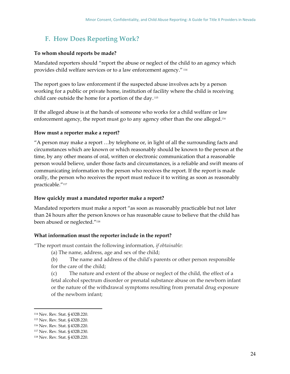# <span id="page-27-0"></span>**F. How Does Reporting Work?**

### <span id="page-27-1"></span>**To whom should reports be made?**

Mandated reporters should "report the abuse or neglect of the child to an agency which provides child welfare services or to a law enforcement agency." <sup>114</sup>

The report goes to law enforcement if the suspected abuse involves acts by a person working for a public or private home, institution of facility where the child is receiving child care outside the home for a portion of the day. <sup>115</sup>

If the alleged abuse is at the hands of someone who works for a child welfare or law enforcement agency, the report must go to any agency other than the one alleged.<sup>116</sup>

## <span id="page-27-2"></span>**How must a reporter make a report?**

"A person may make a report …by telephone or, in light of all the surrounding facts and circumstances which are known or which reasonably should be known to the person at the time, by any other means of oral, written or electronic communication that a reasonable person would believe, under those facts and circumstances, is a reliable and swift means of communicating information to the person who receives the report. If the report is made orally, the person who receives the report must reduce it to writing as soon as reasonably practicable."<sup>117</sup>

### <span id="page-27-3"></span>**How quickly must a mandated reporter make a report?**

Mandated reporters must make a report "as soon as reasonably practicable but not later than 24 hours after the person knows or has reasonable cause to believe that the child has been abused or neglected."<sup>118</sup>

### <span id="page-27-4"></span>**What information must the reporter include in the report?**

"The report must contain the following information, *if obtainable*:

- (a) The name, address, age and sex of the child;
- (b) The name and address of the child's parents or other person responsible for the care of the child;

(c) The nature and extent of the abuse or neglect of the child, the effect of a fetal alcohol spectrum disorder or prenatal substance abuse on the newborn infant or the nature of the withdrawal symptoms resulting from prenatal drug exposure of the newborn infant;

<sup>114</sup> Nev. Rev. Stat. § 432B.220.

<sup>115</sup> Nev. Rev. Stat. § 432B.220.

<sup>116</sup> Nev. Rev. Stat. § 432B.220.

<sup>117</sup> Nev. Rev. Stat. § 432B.230.

<sup>118</sup> Nev. Rev. Stat. § 432B.220.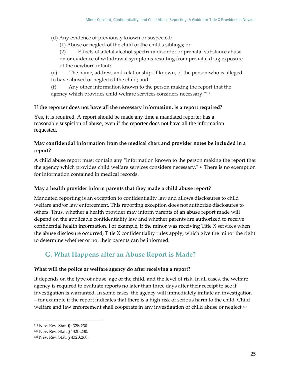(d) Any evidence of previously known or suspected:

- (1) Abuse or neglect of the child or the child's siblings; or
- (2) Effects of a fetal alcohol spectrum disorder or prenatal substance abuse on or evidence of withdrawal symptoms resulting from prenatal drug exposure of the newborn infant;
- (e) The name, address and relationship, if known, of the person who is alleged to have abused or neglected the child; and
- (f) Any other information known to the person making the report that the agency which provides child welfare services considers necessary."<sup>119</sup>

## <span id="page-28-0"></span>**If the reporter does not have all the necessary information, is a report required?**

Yes, it is required. A report should be made any time a mandated reporter has a reasonable suspicion of abuse, even if the reporter does not have all the information requested.

# <span id="page-28-1"></span>**May confidential information from the medical chart and provider notes be included in a report?**

A child abuse report must contain any "information known to the person making the report that the agency which provides child welfare services considers necessary."<sup>120</sup> There is no exemption for information contained in medical records.

## <span id="page-28-2"></span>**May a health provider inform parents that they made a child abuse report?**

Mandated reporting is an exception to confidentiality law and allows disclosures to child welfare and/or law enforcement. This reporting exception does not authorize disclosures to others. Thus, whether a health provider may inform parents of an abuse report made will depend on the applicable confidentiality law and whether parents are authorized to receive confidential health information. For example, if the minor was receiving Title X services when the abuse disclosure occurred, Title X confidentiality rules apply, which give the minor the right to determine whether or not their parents can be informed.

# <span id="page-28-3"></span>**G. What Happens after an Abuse Report is Made?**

# <span id="page-28-4"></span>**What will the police or welfare agency do after receiving a report?**

It depends on the type of abuse, age of the child, and the level of risk. In all cases, the welfare agency is required to evaluate reports no later than three days after their receipt to see if investigation is warranted. In some cases, the agency will immediately initiate an investigation – for example if the report indicates that there is a high risk of serious harm to the child. Child welfare and law enforcement shall cooperate in any investigation of child abuse or neglect.<sup>121</sup>

<sup>119</sup> Nev. Rev. Stat. § 432B.230.

<sup>120</sup> Nev. Rev. Stat. § 432B.230.

<sup>121</sup> Nev. Rev. Stat. § 432B.260.